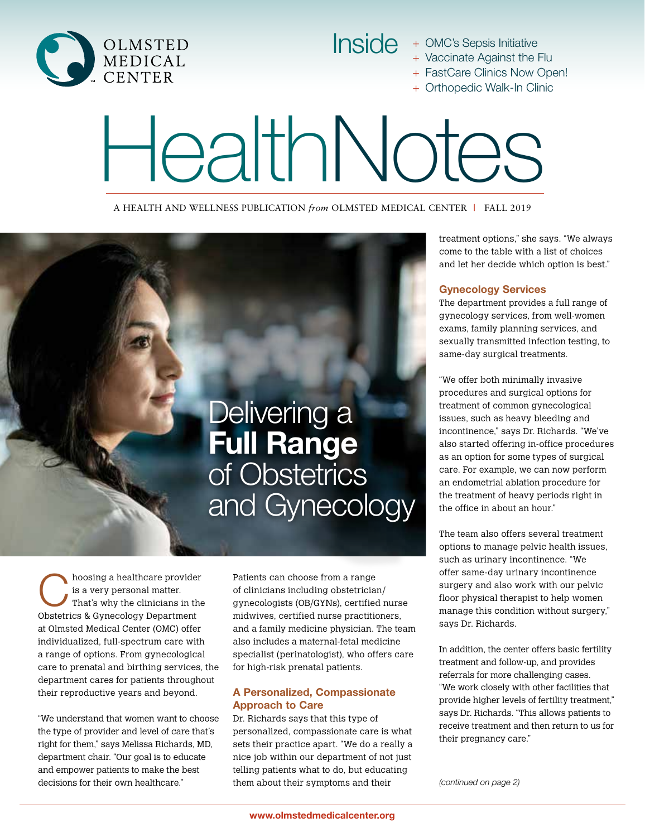

Inside + OMC's Sepsis Initiative

- + Vaccinate Against the Flu
- + FastCare Clinics Now Open!
- + Orthopedic Walk-In Clinic

# HealthNotes

A HEALTH AND WELLNESS PUBLICATION *from* OLMSTED MEDICAL CENTER **|** FALL 2019



hoosing a healthcare provider<br>
is a very personal matter.<br>
That's why the clinicians in the is a very personal matter. Obstetrics & Gynecology Department at Olmsted Medical Center (OMC) offer individualized, full-spectrum care with a range of options. From gynecological care to prenatal and birthing services, the department cares for patients throughout their reproductive years and beyond.

"We understand that women want to choose the type of provider and level of care that's right for them," says Melissa Richards, MD, department chair. "Our goal is to educate and empower patients to make the best decisions for their own healthcare."

Patients can choose from a range of clinicians including obstetrician/ gynecologists (OB/GYNs), certified nurse midwives, certified nurse practitioners, and a family medicine physician. The team also includes a maternal-fetal medicine specialist (perinatologist), who offers care for high-risk prenatal patients.

#### A Personalized, Compassionate Approach to Care

Dr. Richards says that this type of personalized, compassionate care is what sets their practice apart. "We do a really a nice job within our department of not just telling patients what to do, but educating them about their symptoms and their

treatment options," she says. "We always come to the table with a list of choices and let her decide which option is best."

#### Gynecology Services

The department provides a full range of gynecology services, from well-women exams, family planning services, and sexually transmitted infection testing, to same-day surgical treatments.

"We offer both minimally invasive procedures and surgical options for treatment of common gynecological issues, such as heavy bleeding and incontinence," says Dr. Richards. "We've also started offering in-office procedures as an option for some types of surgical care. For example, we can now perform an endometrial ablation procedure for the treatment of heavy periods right in the office in about an hour."

The team also offers several treatment options to manage pelvic health issues, such as urinary incontinence. "We offer same-day urinary incontinence surgery and also work with our pelvic floor physical therapist to help women manage this condition without surgery," says Dr. Richards.

In addition, the center offers basic fertility treatment and follow-up, and provides referrals for more challenging cases. "We work closely with other facilities that provide higher levels of fertility treatment," says Dr. Richards. "This allows patients to receive treatment and then return to us for their pregnancy care."

*(continued on page 2)*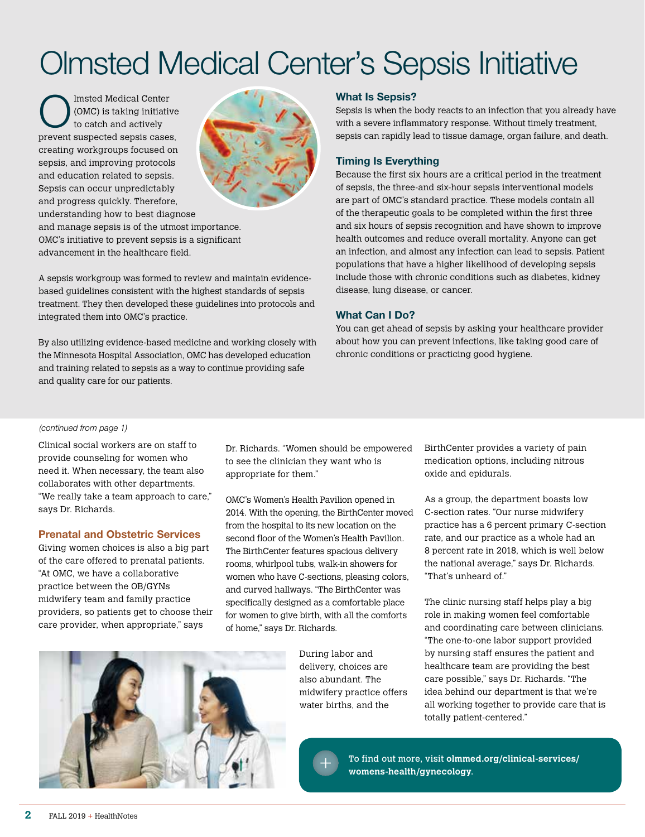## Olmsted Medical Center's Sepsis Initiative

Imsted Medical Center<br>
(OMC) is taking initiatively<br>
to catch and actively (OMC) is taking initiative prevent suspected sepsis cases, creating workgroups focused on sepsis, and improving protocols and education related to sepsis. Sepsis can occur unpredictably and progress quickly. Therefore, understanding how to best diagnose



and manage sepsis is of the utmost importance. OMC's initiative to prevent sepsis is a significant advancement in the healthcare field.

A sepsis workgroup was formed to review and maintain evidencebased guidelines consistent with the highest standards of sepsis treatment. They then developed these guidelines into protocols and integrated them into OMC's practice.

By also utilizing evidence-based medicine and working closely with the Minnesota Hospital Association, OMC has developed education and training related to sepsis as a way to continue providing safe and quality care for our patients.

#### What Is Sepsis?

Sepsis is when the body reacts to an infection that you already have with a severe inflammatory response. Without timely treatment, sepsis can rapidly lead to tissue damage, organ failure, and death.

#### Timing Is Everything

Because the first six hours are a critical period in the treatment of sepsis, the three-and six-hour sepsis interventional models are part of OMC's standard practice. These models contain all of the therapeutic goals to be completed within the first three and six hours of sepsis recognition and have shown to improve health outcomes and reduce overall mortality. Anyone can get an infection, and almost any infection can lead to sepsis. Patient populations that have a higher likelihood of developing sepsis include those with chronic conditions such as diabetes, kidney disease, lung disease, or cancer.

#### What Can I Do?

You can get ahead of sepsis by asking your healthcare provider about how you can prevent infections, like taking good care of chronic conditions or practicing good hygiene.

#### *(continued from page 1)*

Clinical social workers are on staff to provide counseling for women who need it. When necessary, the team also collaborates with other departments. "We really take a team approach to care," says Dr. Richards.

#### Prenatal and Obstetric Services

Giving women choices is also a big part of the care offered to prenatal patients. "At OMC, we have a collaborative practice between the OB/GYNs midwifery team and family practice providers, so patients get to choose their care provider, when appropriate," says

Dr. Richards. "Women should be empowered to see the clinician they want who is appropriate for them."

OMC's Women's Health Pavilion opened in 2014. With the opening, the BirthCenter moved from the hospital to its new location on the second floor of the Women's Health Pavilion. The BirthCenter features spacious delivery rooms, whirlpool tubs, walk-in showers for women who have C-sections, pleasing colors, and curved hallways. "The BirthCenter was specifically designed as a comfortable place for women to give birth, with all the comforts of home," says Dr. Richards.



During labor and delivery, choices are also abundant. The midwifery practice offers water births, and the



BirthCenter provides a variety of pain medication options, including nitrous oxide and epidurals.

As a group, the department boasts low C-section rates. "Our nurse midwifery practice has a 6 percent primary C-section rate, and our practice as a whole had an 8 percent rate in 2018, which is well below the national average," says Dr. Richards. "That's unheard of."

The clinic nursing staff helps play a big role in making women feel comfortable and coordinating care between clinicians. "The one-to-one labor support provided by nursing staff ensures the patient and healthcare team are providing the best care possible," says Dr. Richards. "The idea behind our department is that we're all working together to provide care that is totally patient-centered."

To find out more, visit **olmmed.org/clinical-services/ womens-health/gynecology**.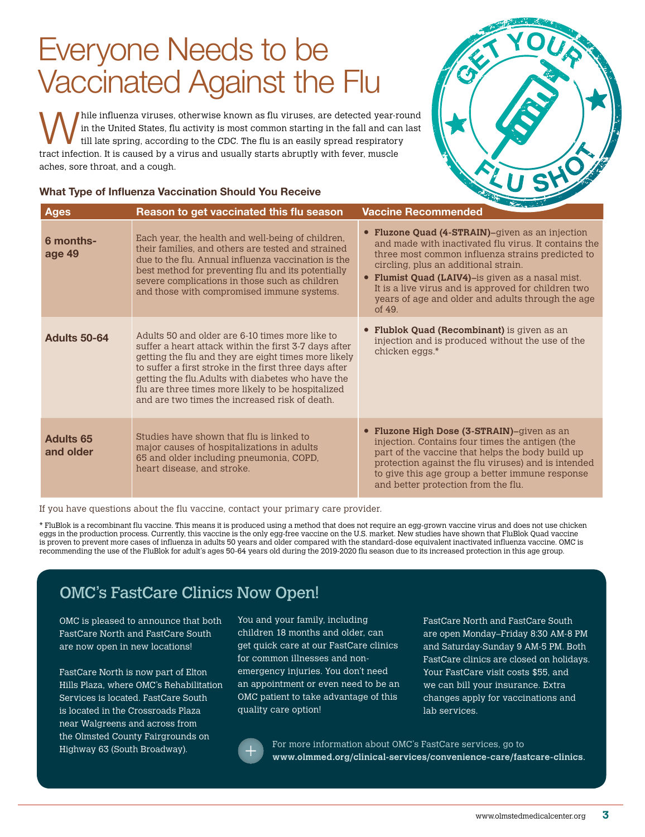## Everyone Needs to be Vaccinated Against the Flu

hile influenza viruses, otherwise known as flu viruses, are detected year-round in the United States, flu activity is most common starting in the fall and can last till late spring, according to the CDC. The flu is an easily spread respiratory tract infection. It is caused by a virus and usually starts abruptly with fever, muscle aches, sore throat, and a cough.

#### What Type of Influenza Vaccination Should You Receive



| <b>Ages</b>                   | Reason to get vaccinated this flu season                                                                                                                                                                                                                                                                                                                                                 | <b>The Party Company's Company</b><br><b>Vaccine Recommended</b>                                                                                                                                                                                                                                                                                                                                   |
|-------------------------------|------------------------------------------------------------------------------------------------------------------------------------------------------------------------------------------------------------------------------------------------------------------------------------------------------------------------------------------------------------------------------------------|----------------------------------------------------------------------------------------------------------------------------------------------------------------------------------------------------------------------------------------------------------------------------------------------------------------------------------------------------------------------------------------------------|
| 6 months-<br>age 49           | Each year, the health and well-being of children,<br>their families, and others are tested and strained<br>due to the flu. Annual influenza vaccination is the<br>best method for preventing flu and its potentially<br>severe complications in those such as children<br>and those with compromised immune systems.                                                                     | • Fluzone Quad (4-STRAIN)-given as an injection<br>and made with inactivated flu virus. It contains the<br>three most common influenza strains predicted to<br>circling, plus an additional strain.<br><b>Flumist Quad (LAIV4)</b> -is given as a nasal mist.<br>$\bullet$<br>It is a live virus and is approved for children two<br>years of age and older and adults through the age<br>of $49.$ |
| <b>Adults 50-64</b>           | Adults 50 and older are 6-10 times more like to<br>suffer a heart attack within the first 3-7 days after<br>getting the flu and they are eight times more likely<br>to suffer a first stroke in the first three days after<br>getting the flu. Adults with diabetes who have the<br>flu are three times more likely to be hospitalized<br>and are two times the increased risk of death. | <b>Flublok Quad (Recombinant)</b> is given as an<br>$\bullet$<br>injection and is produced without the use of the<br>chicken eggs.*                                                                                                                                                                                                                                                                |
| <b>Adults 65</b><br>and older | Studies have shown that flu is linked to<br>major causes of hospitalizations in adults<br>65 and older including pneumonia, COPD,<br>heart disease, and stroke.                                                                                                                                                                                                                          | • Fluzone High Dose (3-STRAIN)-given as an<br>injection. Contains four times the antigen (the<br>part of the vaccine that helps the body build up<br>protection against the flu viruses) and is intended<br>to give this age group a better immune response<br>and better protection from the flu.                                                                                                 |

If you have questions about the flu vaccine, contact your primary care provider.

\* FluBlok is a recombinant flu vaccine. This means it is produced using a method that does not require an egg-grown vaccine virus and does not use chicken eggs in the production process. Currently, this vaccine is the only egg-free vaccine on the U.S. market. New studies have shown that FluBlok Quad vaccine is proven to prevent more cases of influenza in adults 50 years and older compared with the standard-dose equivalent inactivated influenza vaccine. OMC is recommending the use of the FluBlok for adult's ages 50-64 years old during the 2019-2020 flu season due to its increased protection in this age group.

### OMC's FastCare Clinics Now Open!

OMC is pleased to announce that both FastCare North and FastCare South are now open in new locations!

FastCare North is now part of Elton Hills Plaza, where OMC's Rehabilitation Services is located. FastCare South is located in the Crossroads Plaza near Walgreens and across from the Olmsted County Fairgrounds on Highway 63 (South Broadway).

You and your family, including children 18 months and older, can get quick care at our FastCare clinics for common illnesses and nonemergency injuries. You don't need an appointment or even need to be an OMC patient to take advantage of this quality care option!

FastCare North and FastCare South are open Monday–Friday 8:30 AM-8 PM and Saturday-Sunday 9 AM-5 PM. Both FastCare clinics are closed on holidays. Your FastCare visit costs \$55, and we can bill your insurance. Extra changes apply for vaccinations and lab services.



For more information about OMC's FastCare services, go to **www.olmmed.org/clinical-services/convenience-care/fastcare-clinics**.